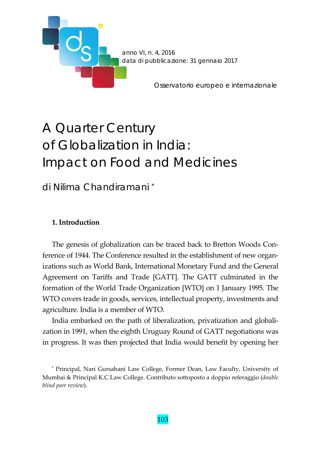

# A Quarter Century of Globalization in India: Impact on Food and Medicines

di Nilima Chandiramani \*

## **1. Introduction**

The genesis of globalization can be traced back to Bretton Woods Conference of 1944. The Conference resulted in the establishment of new organizations such as World Bank, International Monetary Fund and the General Agreement on Tariffs and Trade [GATT]. The GATT culminated in the formation of the World Trade Organization [WTO] on 1 January 1995. The WTO covers trade in goods, services, intellectual property, investments and agriculture. India is a member of WTO.

India embarked on the path of liberalization, privatization and globali‐ zation in 1991, when the eighth Uruguay Round of GATT negotiations was in progress. It was then projected that India would benefit by opening her

<sup>\*</sup> Principal, Nari Gursahani Law College, Former Dean, Law Faculty, University of Mumbai & Principal K.C.Law College. Contributo sottoposto a doppio referaggio (*double blind peer review*).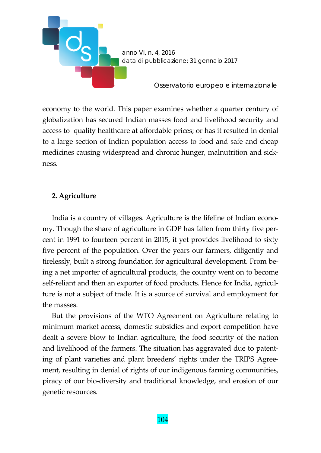

economy to the world. This paper examines whether a quarter century of globalization has secured Indian masses food and livelihood security and access to quality healthcare at affordable prices; or has it resulted in denial to a large section of Indian population access to food and safe and cheap medicines causing widespread and chronic hunger, malnutrition and sick‐ ness.

## **2. Agriculture**

India is a country of villages. Agriculture is the lifeline of Indian econo‐ my. Though the share of agriculture in GDP has fallen from thirty five per‐ cent in 1991 to fourteen percent in 2015, it yet provides livelihood to sixty five percent of the population. Over the years our farmers, diligently and tirelessly, built a strong foundation for agricultural development. From be‐ ing a net importer of agricultural products, the country went on to become self-reliant and then an exporter of food products. Hence for India, agriculture is not a subject of trade. It is a source of survival and employment for the masses.

But the provisions of the WTO Agreement on Agriculture relating to minimum market access, domestic subsidies and export competition have dealt a severe blow to Indian agriculture, the food security of the nation and livelihood of the farmers. The situation has aggravated due to patent‐ ing of plant varieties and plant breeders' rights under the TRIPS Agree‐ ment, resulting in denial of rights of our indigenous farming communities, piracy of our bio‐diversity and traditional knowledge, and erosion of our genetic resources.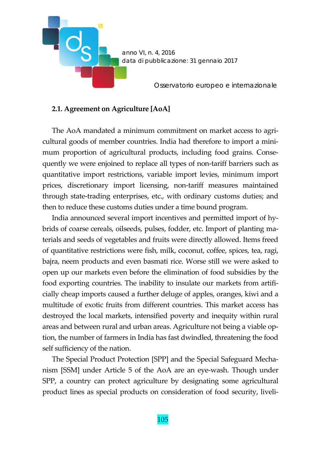

## **2.1. Agreement on Agriculture [AoA]**

The AoA mandated a minimum commitment on market access to agricultural goods of member countries. India had therefore to import a mini‐ mum proportion of agricultural products, including food grains. Consequently we were enjoined to replace all types of non-tariff barriers such as quantitative import restrictions, variable import levies, minimum import prices, discretionary import licensing, non-tariff measures maintained through state‐trading enterprises, etc., with ordinary customs duties; and then to reduce these customs duties under a time bound program.

India announced several import incentives and permitted import of hy‐ brids of coarse cereals, oilseeds, pulses, fodder, etc. Import of planting ma‐ terials and seeds of vegetables and fruits were directly allowed. Items freed of quantitative restrictions were fish, milk, coconut, coffee, spices, tea, ragi, bajra, neem products and even basmati rice. Worse still we were asked to open up our markets even before the elimination of food subsidies by the food exporting countries. The inability to insulate our markets from artificially cheap imports caused a further deluge of apples, oranges, kiwi and a multitude of exotic fruits from different countries. This market access has destroyed the local markets, intensified poverty and inequity within rural areas and between rural and urban areas. Agriculture not being a viable op‐ tion, the number of farmers in India has fast dwindled, threatening the food self sufficiency of the nation.

The Special Product Protection [SPP] and the Special Safeguard Mecha‐ nism [SSM] under Article 5 of the AoA are an eye‐wash. Though under SPP, a country can protect agriculture by designating some agricultural product lines as special products on consideration of food security, liveli-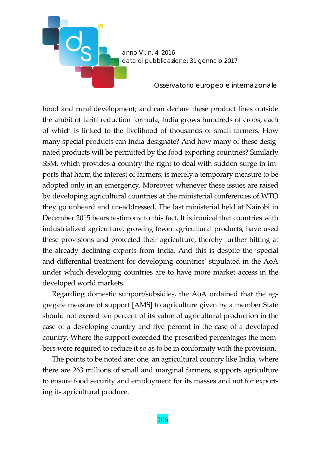

hood and rural development; and can declare these product lines outside the ambit of tariff reduction formula, India grows hundreds of crops, each of which is linked to the livelihood of thousands of small farmers. How many special products can India designate? And how many of these designated products will be permitted by the food exporting countries? Similarly SSM, which provides a country the right to deal with sudden surge in im‐ ports that harm the interest of farmers, is merely a temporary measure to be adopted only in an emergency. Moreover whenever these issues are raised by developing agricultural countries at the ministerial conferences of WTO they go unheard and un‐addressed. The last ministerial held at Nairobi in December 2015 bears testimony to this fact. It is ironical that countries with industrialized agriculture, growing fewer agricultural products, have used these provisions and protected their agriculture, thereby further hitting at the already declining exports from India. And this is despite the 'special and differential treatment for developing countries' stipulated in the AoA under which developing countries are to have more market access in the developed world markets.

Regarding domestic support/subsidies, the AoA ordained that the aggregate measure of support [AMS] to agriculture given by a member State should not exceed ten percent of its value of agricultural production in the case of a developing country and five percent in the case of a developed country. Where the support exceeded the prescribed percentages the mem‐ bers were required to reduce it so as to be in conformity with the provision.

The points to be noted are: one, an agricultural country like India, where there are 263 millions of small and marginal farmers, supports agriculture to ensure food security and employment for its masses and not for exporting its agricultural produce.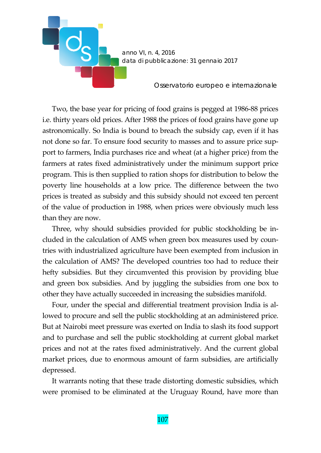

Two, the base year for pricing of food grains is pegged at 1986‐88 prices i.e. thirty years old prices. After 1988 the prices of food grains have gone up astronomically. So India is bound to breach the subsidy cap, even if it has not done so far. To ensure food security to masses and to assure price sup‐ port to farmers, India purchases rice and wheat (at a higher price) from the farmers at rates fixed administratively under the minimum support price program. This is then supplied to ration shops for distribution to below the poverty line households at a low price. The difference between the two prices is treated as subsidy and this subsidy should not exceed ten percent of the value of production in 1988, when prices were obviously much less than they are now.

Three, why should subsidies provided for public stockholding be in‐ cluded in the calculation of AMS when green box measures used by countries with industrialized agriculture have been exempted from inclusion in the calculation of AMS? The developed countries too had to reduce their hefty subsidies. But they circumvented this provision by providing blue and green box subsidies. And by juggling the subsidies from one box to other they have actually succeeded in increasing the subsidies manifold.

Four, under the special and differential treatment provision India is allowed to procure and sell the public stockholding at an administered price. But at Nairobi meet pressure was exerted on India to slash its food support and to purchase and sell the public stockholding at current global market prices and not at the rates fixed administratively. And the current global market prices, due to enormous amount of farm subsidies, are artificially depressed.

It warrants noting that these trade distorting domestic subsidies, which were promised to be eliminated at the Uruguay Round, have more than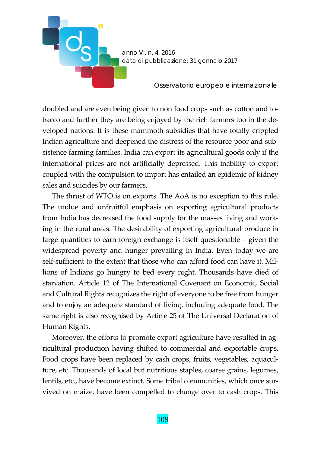

doubled and are even being given to non food crops such as cotton and to‐ bacco and further they are being enjoyed by the rich farmers too in the de‐ veloped nations. It is these mammoth subsidies that have totally crippled Indian agriculture and deepened the distress of the resource‐poor and sub‐ sistence farming families. India can export its agricultural goods only if the international prices are not artificially depressed. This inability to export coupled with the compulsion to import has entailed an epidemic of kidney sales and suicides by our farmers.

The thrust of WTO is on exports. The AoA is no exception to this rule. The undue and unfruitful emphasis on exporting agricultural products from India has decreased the food supply for the masses living and work‐ ing in the rural areas. The desirability of exporting agricultural produce in large quantities to earn foreign exchange is itself questionable – given the widespread poverty and hunger prevailing in India. Even today we are self-sufficient to the extent that those who can afford food can have it. Millions of Indians go hungry to bed every night. Thousands have died of starvation. Article 12 of The International Covenant on Economic, Social and Cultural Rights recognizes the right of everyone to be free from hunger and to enjoy an adequate standard of living, including adequate food. The same right is also recognised by Article 25 of The Universal Declaration of Human Rights.

Moreover, the efforts to promote export agriculture have resulted in agricultural production having shifted to commercial and exportable crops. Food crops have been replaced by cash crops, fruits, vegetables, aquacul‐ ture, etc. Thousands of local but nutritious staples, coarse grains, legumes, lentils, etc., have become extinct. Some tribal communities, which once survived on maize, have been compelled to change over to cash crops. This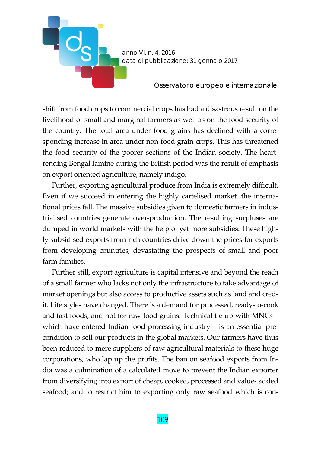

shift from food crops to commercial crops has had a disastrous result on the livelihood of small and marginal farmers as well as on the food security of the country. The total area under food grains has declined with a corre‐ sponding increase in area under non-food grain crops. This has threatened the food security of the poorer sections of the Indian society. The heart‐ rending Bengal famine during the British period was the result of emphasis on export oriented agriculture, namely indigo.

Further, exporting agricultural produce from India is extremely difficult. Even if we succeed in entering the highly cartelised market, the international prices fall. The massive subsidies given to domestic farmers in indus‐ trialised countries generate over‐production. The resulting surpluses are dumped in world markets with the help of yet more subsidies. These high‐ ly subsidised exports from rich countries drive down the prices for exports from developing countries, devastating the prospects of small and poor farm families.

Further still, export agriculture is capital intensive and beyond the reach of a small farmer who lacks not only the infrastructure to take advantage of market openings but also access to productive assets such as land and credit. Life styles have changed. There is a demand for processed, ready‐to‐cook and fast foods, and not for raw food grains. Technical tie‐up with MNCs – which have entered Indian food processing industry – is an essential precondition to sell our products in the global markets. Our farmers have thus been reduced to mere suppliers of raw agricultural materials to these huge corporations, who lap up the profits. The ban on seafood exports from In‐ dia was a culmination of a calculated move to prevent the Indian exporter from diversifying into export of cheap, cooked, processed and value‐ added seafood; and to restrict him to exporting only raw seafood which is con-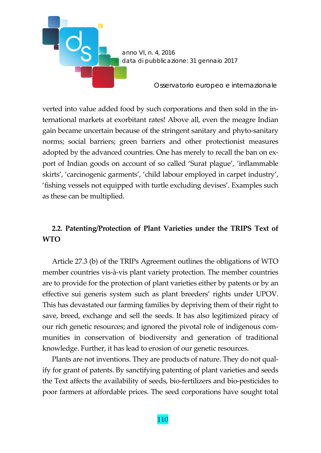

verted into value added food by such corporations and then sold in the in‐ ternational markets at exorbitant rates! Above all, even the meagre Indian gain became uncertain because of the stringent sanitary and phyto‐sanitary norms; social barriers; green barriers and other protectionist measures adopted by the advanced countries. One has merely to recall the ban on ex‐ port of Indian goods on account of so called 'Surat plague', 'inflammable skirts', 'carcinogenic garments', 'child labour employed in carpet industry', 'fishing vessels not equipped with turtle excluding devises'. Examples such as these can be multiplied.

## **2.2. Patenting/Protection of Plant Varieties under the TRIPS Text of WTO**

Article 27.3 (b) of the TRIPs Agreement outlines the obligations of WTO member countries vis‐à‐vis plant variety protection. The member countries are to provide for the protection of plant varieties either by patents or by an effective sui generis system such as plant breeders' rights under UPOV. This has devastated our farming families by depriving them of their right to save, breed, exchange and sell the seeds. It has also legitimized piracy of our rich genetic resources; and ignored the pivotal role of indigenous com‐ munities in conservation of biodiversity and generation of traditional knowledge. Further, it has lead to erosion of our genetic resources.

Plants are not inventions. They are products of nature. They do not qual‐ ify for grant of patents. By sanctifying patenting of plant varieties and seeds the Text affects the availability of seeds, bio‐fertilizers and bio‐pesticides to poor farmers at affordable prices. The seed corporations have sought total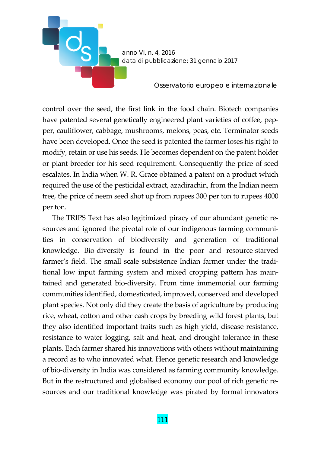

control over the seed, the first link in the food chain. Biotech companies have patented several genetically engineered plant varieties of coffee, pepper, cauliflower, cabbage, mushrooms, melons, peas, etc. Terminator seeds have been developed. Once the seed is patented the farmer loses his right to modify, retain or use his seeds. He becomes dependent on the patent holder or plant breeder for his seed requirement. Consequently the price of seed escalates. In India when W. R. Grace obtained a patent on a product which required the use of the pesticidal extract, azadirachin, from the Indian neem tree, the price of neem seed shot up from rupees 300 per ton to rupees 4000 per ton.

The TRIPS Text has also legitimized piracy of our abundant genetic resources and ignored the pivotal role of our indigenous farming communities in conservation of biodiversity and generation of traditional knowledge. Bio-diversity is found in the poor and resource-starved farmer's field. The small scale subsistence Indian farmer under the traditional low input farming system and mixed cropping pattern has main‐ tained and generated bio‐diversity. From time immemorial our farming communities identified, domesticated, improved, conserved and developed plant species. Not only did they create the basis of agriculture by producing rice, wheat, cotton and other cash crops by breeding wild forest plants, but they also identified important traits such as high yield, disease resistance, resistance to water logging, salt and heat, and drought tolerance in these plants. Each farmer shared his innovations with others without maintaining a record as to who innovated what. Hence genetic research and knowledge of bio‐diversity in India was considered as farming community knowledge. But in the restructured and globalised economy our pool of rich genetic resources and our traditional knowledge was pirated by formal innovators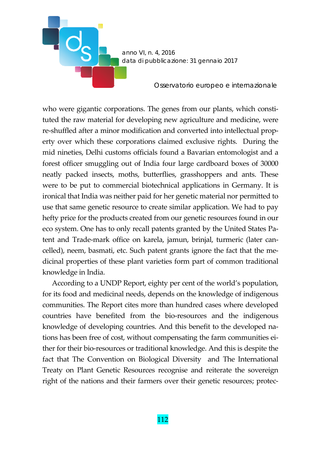

who were gigantic corporations. The genes from our plants, which constituted the raw material for developing new agriculture and medicine, were re-shuffled after a minor modification and converted into intellectual property over which these corporations claimed exclusive rights. During the mid nineties, Delhi customs officials found a Bavarian entomologist and a forest officer smuggling out of India four large cardboard boxes of 30000 neatly packed insects, moths, butterflies, grasshoppers and ants. These were to be put to commercial biotechnical applications in Germany. It is ironical that India was neither paid for her genetic material nor permitted to use that same genetic resource to create similar application. We had to pay hefty price for the products created from our genetic resources found in our eco system. One has to only recall patents granted by the United States Pa‐ tent and Trade-mark office on karela, jamun, brinjal, turmeric (later cancelled), neem, basmati, etc. Such patent grants ignore the fact that the me‐ dicinal properties of these plant varieties form part of common traditional knowledge in India.

According to a UNDP Report, eighty per cent of the world's population, for its food and medicinal needs, depends on the knowledge of indigenous communities. The Report cites more than hundred cases where developed countries have benefited from the bio‐resources and the indigenous knowledge of developing countries. And this benefit to the developed nations has been free of cost, without compensating the farm communities either for their bio‐resources or traditional knowledge. And this is despite the fact that The Convention on Biological Diversity and The International Treaty on Plant Genetic Resources recognise and reiterate the sovereign right of the nations and their farmers over their genetic resources; protec-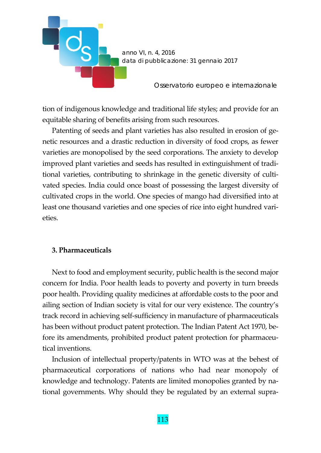

tion of indigenous knowledge and traditional life styles; and provide for an equitable sharing of benefits arising from such resources.

Patenting of seeds and plant varieties has also resulted in erosion of genetic resources and a drastic reduction in diversity of food crops, as fewer varieties are monopolised by the seed corporations. The anxiety to develop improved plant varieties and seeds has resulted in extinguishment of traditional varieties, contributing to shrinkage in the genetic diversity of cultivated species. India could once boast of possessing the largest diversity of cultivated crops in the world. One species of mango had diversified into at least one thousand varieties and one species of rice into eight hundred varieties.

#### **3. Pharmaceuticals**

Next to food and employment security, public health is the second major concern for India. Poor health leads to poverty and poverty in turn breeds poor health. Providing quality medicines at affordable costs to the poor and ailing section of Indian society is vital for our very existence. The country's track record in achieving self‐sufficiency in manufacture of pharmaceuticals has been without product patent protection. The Indian Patent Act 1970, before its amendments, prohibited product patent protection for pharmaceutical inventions.

Inclusion of intellectual property/patents in WTO was at the behest of pharmaceutical corporations of nations who had near monopoly of knowledge and technology. Patents are limited monopolies granted by national governments. Why should they be regulated by an external supra‐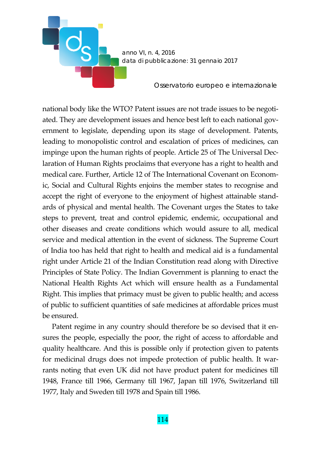

national body like the WTO? Patent issues are not trade issues to be negoti‐ ated. They are development issues and hence best left to each national government to legislate, depending upon its stage of development. Patents, leading to monopolistic control and escalation of prices of medicines, can impinge upon the human rights of people. Article 25 of The Universal Dec‐ laration of Human Rights proclaims that everyone has a right to health and medical care. Further, Article 12 of The International Covenant on Econom‐ ic, Social and Cultural Rights enjoins the member states to recognise and accept the right of everyone to the enjoyment of highest attainable stand‐ ards of physical and mental health. The Covenant urges the States to take steps to prevent, treat and control epidemic, endemic, occupational and other diseases and create conditions which would assure to all, medical service and medical attention in the event of sickness. The Supreme Court of India too has held that right to health and medical aid is a fundamental right under Article 21 of the Indian Constitution read along with Directive Principles of State Policy. The Indian Government is planning to enact the National Health Rights Act which will ensure health as a Fundamental Right. This implies that primacy must be given to public health; and access of public to sufficient quantities of safe medicines at affordable prices must be ensured.

Patent regime in any country should therefore be so devised that it en‐ sures the people, especially the poor, the right of access to affordable and quality healthcare. And this is possible only if protection given to patents for medicinal drugs does not impede protection of public health. It warrants noting that even UK did not have product patent for medicines till 1948, France till 1966, Germany till 1967, Japan till 1976, Switzerland till 1977, Italy and Sweden till 1978 and Spain till 1986.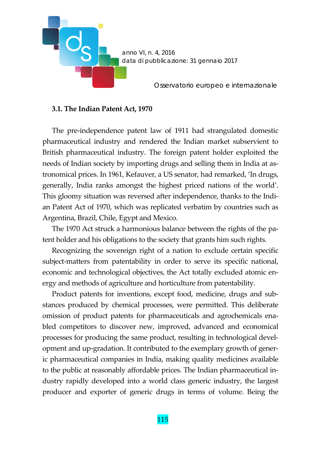

#### **3.1. The Indian Patent Act, 1970**

The pre-independence patent law of 1911 had strangulated domestic pharmaceutical industry and rendered the Indian market subservient to British pharmaceutical industry. The foreign patent holder exploited the needs of Indian society by importing drugs and selling them in India at astronomical prices. In 1961, Kefauver, a US senator, had remarked, 'In drugs, generally, India ranks amongst the highest priced nations of the world'. This gloomy situation was reversed after independence, thanks to the Indian Patent Act of 1970, which was replicated verbatim by countries such as Argentina, Brazil, Chile, Egypt and Mexico.

The 1970 Act struck a harmonious balance between the rights of the patent holder and his obligations to the society that grants him such rights.

Recognizing the sovereign right of a nation to exclude certain specific subject-matters from patentability in order to serve its specific national, economic and technological objectives, the Act totally excluded atomic energy and methods of agriculture and horticulture from patentability.

Product patents for inventions, except food, medicine, drugs and substances produced by chemical processes, were permitted. This deliberate omission of product patents for pharmaceuticals and agrochemicals ena‐ bled competitors to discover new, improved, advanced and economical processes for producing the same product, resulting in technological devel‐ opment and up‐gradation. It contributed to the exemplary growth of gener‐ ic pharmaceutical companies in India, making quality medicines available to the public at reasonably affordable prices. The Indian pharmaceutical in‐ dustry rapidly developed into a world class generic industry, the largest producer and exporter of generic drugs in terms of volume. Being the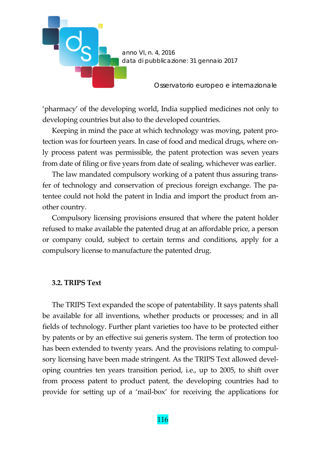

'pharmacy' of the developing world, India supplied medicines not only to developing countries but also to the developed countries.

Keeping in mind the pace at which technology was moving, patent protection was for fourteen years. In case of food and medical drugs, where on‐ ly process patent was permissible, the patent protection was seven years from date of filing or five years from date of sealing, whichever was earlier.

The law mandated compulsory working of a patent thus assuring trans‐ fer of technology and conservation of precious foreign exchange. The patentee could not hold the patent in India and import the product from another country.

Compulsory licensing provisions ensured that where the patent holder refused to make available the patented drug at an affordable price, a person or company could, subject to certain terms and conditions, apply for a compulsory license to manufacture the patented drug.

#### **3.2. TRIPS Text**

The TRIPS Text expanded the scope of patentability. It says patents shall be available for all inventions, whether products or processes; and in all fields of technology. Further plant varieties too have to be protected either by patents or by an effective sui generis system. The term of protection too has been extended to twenty years. And the provisions relating to compulsory licensing have been made stringent. As the TRIPS Text allowed developing countries ten years transition period, i.e., up to 2005, to shift over from process patent to product patent, the developing countries had to provide for setting up of a 'mail‐box' for receiving the applications for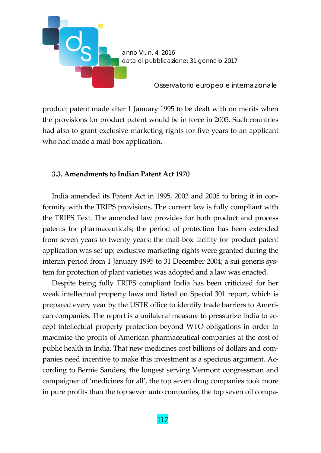

product patent made after 1 January 1995 to be dealt with on merits when the provisions for product patent would be in force in 2005. Such countries had also to grant exclusive marketing rights for five years to an applicant who had made a mail-box application.

#### **3.3. Amendments to Indian Patent Act 1970**

India amended its Patent Act in 1995, 2002 and 2005 to bring it in conformity with the TRIPS provisions. The current law is fully compliant with the TRIPS Text. The amended law provides for both product and process patents for pharmaceuticals; the period of protection has been extended from seven years to twenty years; the mail‐box facility for product patent application was set up; exclusive marketing rights were granted during the interim period from 1 January 1995 to 31 December 2004; a sui generis system for protection of plant varieties was adopted and a law was enacted.

Despite being fully TRIPS compliant India has been criticized for her weak intellectual property laws and listed on Special 301 report, which is prepared every year by the USTR office to identify trade barriers to Ameri‐ can companies. The report is a unilateral measure to pressurize India to ac‐ cept intellectual property protection beyond WTO obligations in order to maximise the profits of American pharmaceutical companies at the cost of public health in India. That new medicines cost billions of dollars and com‐ panies need incentive to make this investment is a specious argument. Ac‐ cording to Bernie Sanders, the longest serving Vermont congressman and campaigner of 'medicines for all', the top seven drug companies took more in pure profits than the top seven auto companies, the top seven oil compa-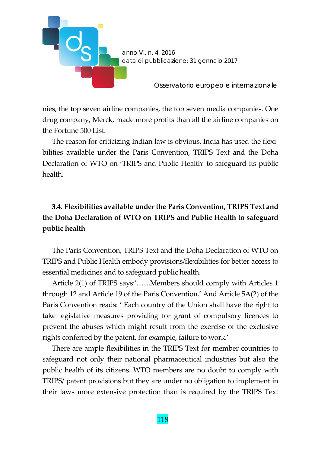

nies, the top seven airline companies, the top seven media companies. One drug company, Merck, made more profits than all the airline companies on the Fortune 500 List.

The reason for criticizing Indian law is obvious. India has used the flexi‐ bilities available under the Paris Convention, TRIPS Text and the Doha Declaration of WTO on 'TRIPS and Public Health' to safeguard its public health.

# **3.4. Flexibilities available under the Paris Convention, TRIPS Text and the Doha Declaration of WTO on TRIPS and Public Health to safeguard public health**

The Paris Convention, TRIPS Text and the Doha Declaration of WTO on TRIPS and Public Health embody provisions/flexibilities for better access to essential medicines and to safeguard public health.

Article 2(1) of TRIPS says:'........Members should comply with Articles 1 through 12 and Article 19 of the Paris Convention.' And Article 5A(2) of the Paris Convention reads: ' Each country of the Union shall have the right to take legislative measures providing for grant of compulsory licences to prevent the abuses which might result from the exercise of the exclusive rights conferred by the patent, for example, failure to work.'

There are ample flexibilities in the TRIPS Text for member countries to safeguard not only their national pharmaceutical industries but also the public health of its citizens. WTO members are no doubt to comply with TRIPS/ patent provisions but they are under no obligation to implement in their laws more extensive protection than is required by the TRIPS Text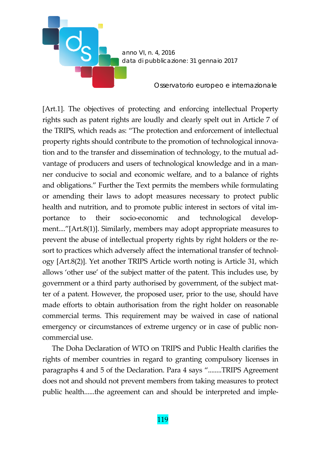

[Art.1]. The objectives of protecting and enforcing intellectual Property rights such as patent rights are loudly and clearly spelt out in Article 7 of the TRIPS, which reads as: "The protection and enforcement of intellectual property rights should contribute to the promotion of technological innovation and to the transfer and dissemination of technology, to the mutual ad‐ vantage of producers and users of technological knowledge and in a man‐ ner conducive to social and economic welfare, and to a balance of rights and obligations." Further the Text permits the members while formulating or amending their laws to adopt measures necessary to protect public health and nutrition, and to promote public interest in sectors of vital importance to their socio-economic and technological development...."[Art.8(1)]. Similarly, members may adopt appropriate measures to prevent the abuse of intellectual property rights by right holders or the resort to practices which adversely affect the international transfer of technology [Art.8(2)]. Yet another TRIPS Article worth noting is Article 31, which allows 'other use' of the subject matter of the patent. This includes use, by government or a third party authorised by government, of the subject mat‐ ter of a patent. However, the proposed user, prior to the use, should have made efforts to obtain authorisation from the right holder on reasonable commercial terms. This requirement may be waived in case of national emergency or circumstances of extreme urgency or in case of public noncommercial use.

The Doha Declaration of WTO on TRIPS and Public Health clarifies the rights of member countries in regard to granting compulsory licenses in paragraphs 4 and 5 of the Declaration. Para 4 says "........TRIPS Agreement does not and should not prevent members from taking measures to protect public health......the agreement can and should be interpreted and imple-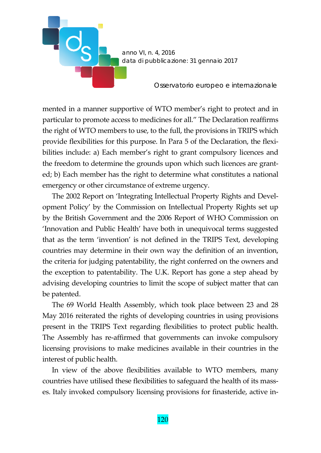

mented in a manner supportive of WTO member's right to protect and in particular to promote access to medicines for all." The Declaration reaffirms the right of WTO members to use, to the full, the provisions in TRIPS which provide flexibilities for this purpose. In Para 5 of the Declaration, the flexi‐ bilities include: a) Each member's right to grant compulsory licences and the freedom to determine the grounds upon which such licences are grant‐ ed; b) Each member has the right to determine what constitutes a national emergency or other circumstance of extreme urgency.

The 2002 Report on 'Integrating Intellectual Property Rights and Devel‐ opment Policy' by the Commission on Intellectual Property Rights set up by the British Government and the 2006 Report of WHO Commission on 'Innovation and Public Health' have both in unequivocal terms suggested that as the term 'invention' is not defined in the TRIPS Text, developing countries may determine in their own way the definition of an invention, the criteria for judging patentability, the right conferred on the owners and the exception to patentability. The U.K. Report has gone a step ahead by advising developing countries to limit the scope of subject matter that can be patented.

The 69 World Health Assembly, which took place between 23 and 28 May 2016 reiterated the rights of developing countries in using provisions present in the TRIPS Text regarding flexibilities to protect public health. The Assembly has re-affirmed that governments can invoke compulsory licensing provisions to make medicines available in their countries in the interest of public health.

In view of the above flexibilities available to WTO members, many countries have utilised these flexibilities to safeguard the health of its masses. Italy invoked compulsory licensing provisions for finasteride, active in‐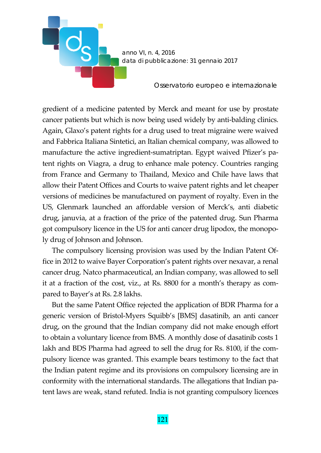

gredient of a medicine patented by Merck and meant for use by prostate cancer patients but which is now being used widely by anti-balding clinics. Again, Glaxo's patent rights for a drug used to treat migraine were waived and Fabbrica Italiana Sintetici, an Italian chemical company, was allowed to manufacture the active ingredient-sumatriptan. Egypt waived Pfizer's patent rights on Viagra, a drug to enhance male potency. Countries ranging from France and Germany to Thailand, Mexico and Chile have laws that allow their Patent Offices and Courts to waive patent rights and let cheaper versions of medicines be manufactured on payment of royalty. Even in the US, Glenmark launched an affordable version of Merck's, anti diabetic drug, januvia, at a fraction of the price of the patented drug. Sun Pharma got compulsory licence in the US for anti cancer drug lipodox, the monopo‐ ly drug of Johnson and Johnson.

The compulsory licensing provision was used by the Indian Patent Of‐ fice in 2012 to waive Bayer Corporation's patent rights over nexavar, a renal cancer drug. Natco pharmaceutical, an Indian company, was allowed to sell it at a fraction of the cost, viz., at Rs. 8800 for a month's therapy as compared to Bayer's at Rs. 2.8 lakhs.

But the same Patent Office rejected the application of BDR Pharma for a generic version of Bristol‐Myers Squibb's [BMS] dasatinib, an anti cancer drug, on the ground that the Indian company did not make enough effort to obtain a voluntary licence from BMS. A monthly dose of dasatinib costs 1 lakh and BDS Pharma had agreed to sell the drug for Rs. 8100, if the com‐ pulsory licence was granted. This example bears testimony to the fact that the Indian patent regime and its provisions on compulsory licensing are in conformity with the international standards. The allegations that Indian patent laws are weak, stand refuted. India is not granting compulsory licences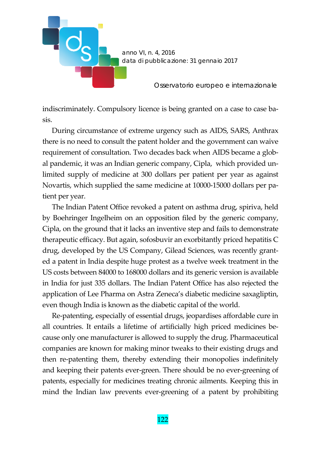

indiscriminately. Compulsory licence is being granted on a case to case basis.

During circumstance of extreme urgency such as AIDS, SARS, Anthrax there is no need to consult the patent holder and the government can waive requirement of consultation. Two decades back when AIDS became a global pandemic, it was an Indian generic company, Cipla, which provided un‐ limited supply of medicine at 300 dollars per patient per year as against Novartis, which supplied the same medicine at 10000‐15000 dollars per pa‐ tient per year.

The Indian Patent Office revoked a patent on asthma drug, spiriva, held by Boehringer Ingelheim on an opposition filed by the generic company, Cipla, on the ground that it lacks an inventive step and fails to demonstrate therapeutic efficacy. But again, sofosbuvir an exorbitantly priced hepatitis C drug, developed by the US Company, Gilead Sciences, was recently grant‐ ed a patent in India despite huge protest as a twelve week treatment in the US costs between 84000 to 168000 dollars and its generic version is available in India for just 335 dollars. The Indian Patent Office has also rejected the application of Lee Pharma on Astra Zeneca's diabetic medicine saxagliptin, even though India is known as the diabetic capital of the world.

Re‐patenting, especially of essential drugs, jeopardises affordable cure in all countries. It entails a lifetime of artificially high priced medicines be‐ cause only one manufacturer is allowed to supply the drug. Pharmaceutical companies are known for making minor tweaks to their existing drugs and then re‐patenting them, thereby extending their monopolies indefinitely and keeping their patents ever‐green. There should be no ever‐greening of patents, especially for medicines treating chronic ailments. Keeping this in mind the Indian law prevents ever‐greening of a patent by prohibiting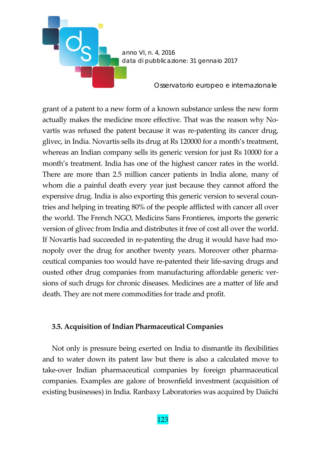

grant of a patent to a new form of a known substance unless the new form actually makes the medicine more effective. That was the reason why No‐ vartis was refused the patent because it was re-patenting its cancer drug, glivec, in India. Novartis sells its drug at Rs 120000 for a month's treatment, whereas an Indian company sells its generic version for just Rs 10000 for a month's treatment. India has one of the highest cancer rates in the world. There are more than 2.5 million cancer patients in India alone, many of whom die a painful death every year just because they cannot afford the expensive drug. India is also exporting this generic version to several countries and helping in treating 80% of the people afflicted with cancer all over the world. The French NGO, Medicins Sans Frontieres, imports the generic version of glivec from India and distributes it free of cost all over the world. If Novartis had succeeded in re-patenting the drug it would have had monopoly over the drug for another twenty years. Moreover other pharma‐ ceutical companies too would have re‐patented their life‐saving drugs and ousted other drug companies from manufacturing affordable generic ver‐ sions of such drugs for chronic diseases. Medicines are a matter of life and death. They are not mere commodities for trade and profit.

## **3.5. Acquisition of Indian Pharmaceutical Companies**

Not only is pressure being exerted on India to dismantle its flexibilities and to water down its patent law but there is also a calculated move to take‐over Indian pharmaceutical companies by foreign pharmaceutical companies. Examples are galore of brownfield investment (acquisition of existing businesses) in India. Ranbaxy Laboratories was acquired by Daiichi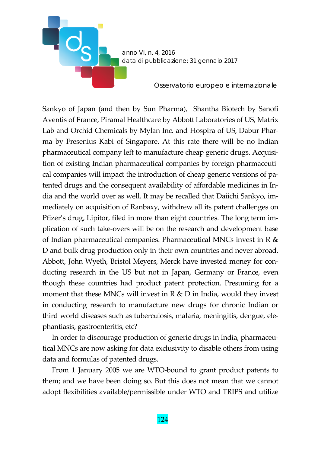

Sankyo of Japan (and then by Sun Pharma), Shantha Biotech by Sanofi Aventis of France, Piramal Healthcare by Abbott Laboratories of US, Matrix Lab and Orchid Chemicals by Mylan Inc. and Hospira of US, Dabur Phar‐ ma by Fresenius Kabi of Singapore. At this rate there will be no Indian pharmaceutical company left to manufacture cheap generic drugs. Acquisi‐ tion of existing Indian pharmaceutical companies by foreign pharmaceuti‐ cal companies will impact the introduction of cheap generic versions of patented drugs and the consequent availability of affordable medicines in In‐ dia and the world over as well. It may be recalled that Daiichi Sankyo, im‐ mediately on acquisition of Ranbaxy, withdrew all its patent challenges on Pfizer's drug, Lipitor, filed in more than eight countries. The long term im‐ plication of such take‐overs will be on the research and development base of Indian pharmaceutical companies. Pharmaceutical MNCs invest in R  $&$ D and bulk drug production only in their own countries and never abroad. Abbott, John Wyeth, Bristol Meyers, Merck have invested money for con‐ ducting research in the US but not in Japan, Germany or France, even though these countries had product patent protection. Presuming for a moment that these MNCs will invest in  $R \& D$  in India, would they invest in conducting research to manufacture new drugs for chronic Indian or third world diseases such as tuberculosis, malaria, meningitis, dengue, ele‐ phantiasis, gastroenteritis, etc?

In order to discourage production of generic drugs in India, pharmaceutical MNCs are now asking for data exclusivity to disable others from using data and formulas of patented drugs.

From 1 January 2005 we are WTO-bound to grant product patents to them; and we have been doing so. But this does not mean that we cannot adopt flexibilities available/permissible under WTO and TRIPS and utilize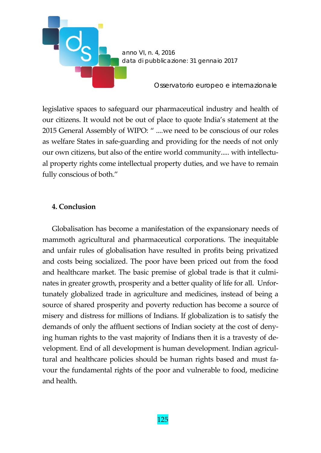

legislative spaces to safeguard our pharmaceutical industry and health of our citizens. It would not be out of place to quote India's statement at the 2015 General Assembly of WIPO: " ....we need to be conscious of our roles as welfare States in safe‐guarding and providing for the needs of not only our own citizens, but also of the entire world community..... with intellectual property rights come intellectual property duties, and we have to remain fully conscious of both."

## **4. Conclusion**

Globalisation has become a manifestation of the expansionary needs of mammoth agricultural and pharmaceutical corporations. The inequitable and unfair rules of globalisation have resulted in profits being privatized and costs being socialized. The poor have been priced out from the food and healthcare market. The basic premise of global trade is that it culmi‐ nates in greater growth, prosperity and a better quality of life for all. Unfor‐ tunately globalized trade in agriculture and medicines, instead of being a source of shared prosperity and poverty reduction has become a source of misery and distress for millions of Indians. If globalization is to satisfy the demands of only the affluent sections of Indian society at the cost of deny‐ ing human rights to the vast majority of Indians then it is a travesty of de‐ velopment. End of all development is human development. Indian agricultural and healthcare policies should be human rights based and must favour the fundamental rights of the poor and vulnerable to food, medicine and health.